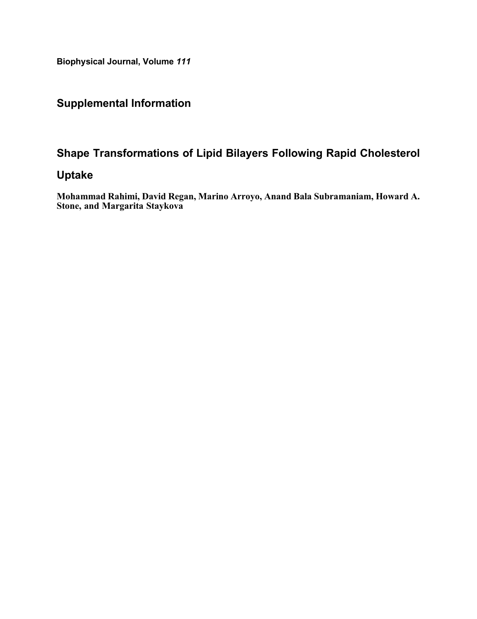Biophysical Journal, Volume 111

### Supplemental Information

### Shape Transformations of Lipid Bilayers Following Rapid Cholesterol

#### Uptake

Mohammad Rahimi, David Regan, Marino Arroyo, Anand Bala Subramaniam, Howard A. Stone, and Margarita Staykova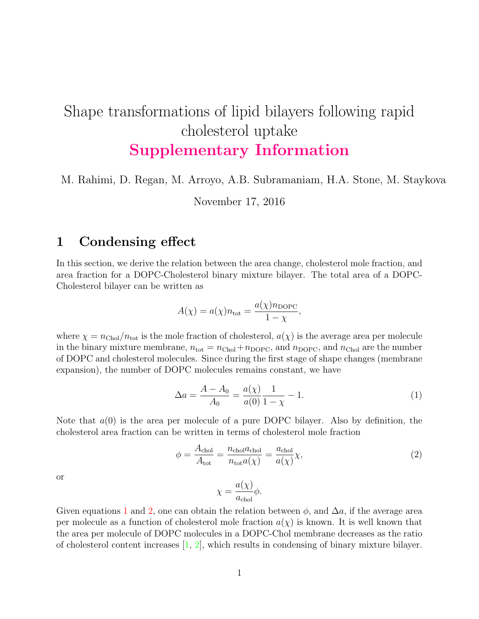# Shape transformations of lipid bilayers following rapid cholesterol uptake Supplementary Information

## M. Rahimi, D. Regan, M. Arroyo, A.B. Subramaniam, H.A. Stone, M. Staykova

November 17, 2016

### 1 Condensing effect

In this section, we derive the relation between the area change, cholesterol mole fraction, and area fraction for a DOPC-Cholesterol binary mixture bilayer. The total area of a DOPC-Cholesterol bilayer can be written as

$$
A(\chi) = a(\chi)n_{\text{tot}} = \frac{a(\chi)n_{\text{DOPC}}}{1 - \chi},
$$

where  $\chi = n_{\text{Chol}}/n_{\text{tot}}$  is the mole fraction of cholesterol,  $a(\chi)$  is the average area per molecule in the binary mixture membrane,  $n_{\text{tot}} = n_{\text{Chol}} + n_{\text{DOPC}}$ , and  $n_{\text{DOPC}}$ , and  $n_{\text{Chol}}$  are the number of DOPC and cholesterol molecules. Since during the first stage of shape changes (membrane expansion), the number of DOPC molecules remains constant, we have

<span id="page-1-0"></span>
$$
\Delta a = \frac{A - A_0}{A_0} = \frac{a(\chi)}{a(0)} \frac{1}{1 - \chi} - 1.
$$
\n(1)

Note that  $a(0)$  is the area per molecule of a pure DOPC bilayer. Also by definition, the cholesterol area fraction can be written in terms of cholesterol mole fraction

<span id="page-1-1"></span>
$$
\phi = \frac{A_{\text{chol}}}{A_{\text{tot}}} = \frac{n_{\text{chol}} a_{\text{chol}}}{n_{\text{tot}} a(\chi)} = \frac{a_{\text{chol}}}{a(\chi)} \chi,\tag{2}
$$

or

$$
\chi = \frac{a(\chi)}{a_{\text{chol}}} \phi.
$$

Given equations [1](#page-1-0) and [2,](#page-1-1) one can obtain the relation between  $\phi$ , and  $\Delta a$ , if the average area per molecule as a function of cholesterol mole fraction  $a(\chi)$  is known. It is well known that the area per molecule of DOPC molecules in a DOPC-Chol membrane decreases as the ratio of cholesterol content increases  $[1, 2]$  $[1, 2]$  $[1, 2]$ , which results in condensing of binary mixture bilayer.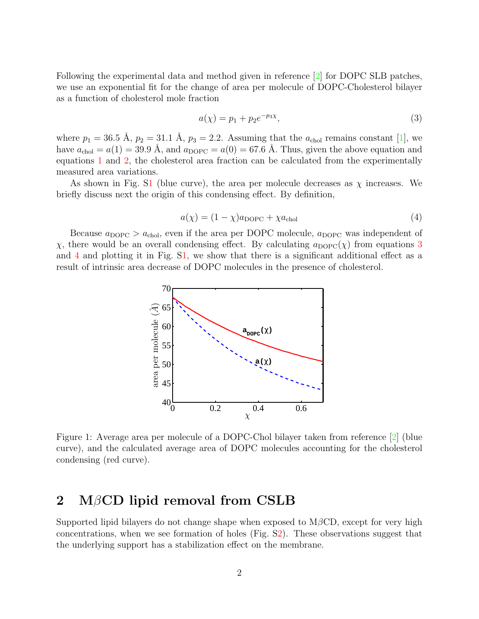Following the experimental data and method given in reference [\[2\]](#page-6-1) for DOPC SLB patches, we use an exponential fit for the change of area per molecule of DOPC-Cholesterol bilayer as a function of cholesterol mole fraction

<span id="page-2-1"></span>
$$
a(\chi) = p_1 + p_2 e^{-p_3 \chi}, \tag{3}
$$

where  $p_1 = 36.5 \text{ Å}, p_2 = 31.1 \text{ Å}, p_3 = 2.2$ . Assuming that the  $a_{\text{chol}}$  remains constant [\[1\]](#page-6-0), we have  $a_{\text{chol}} = a(1) = 39.9$  Å, and  $a_{\text{DOPC}} = a(0) = 67.6$  Å. Thus, given the above equation and equations [1](#page-1-0) and [2,](#page-1-1) the cholesterol area fraction can be calculated from the experimentally measured area variations.

As shown in Fig. [S1](#page-2-0) (blue curve), the area per molecule decreases as  $\chi$  increases. We briefly discuss next the origin of this condensing effect. By definition,

<span id="page-2-2"></span>
$$
a(\chi) = (1 - \chi)a_{\text{DOPC}} + \chi a_{\text{chol}} \tag{4}
$$

Because  $a_{\text{DOPC}} > a_{\text{chol}}$ , even if the area per DOPC molecule,  $a_{\text{DOPC}}$  was independent of  $χ$ , there would be an overall condensing effect. By calculating  $a_{\text{DOPC}}(χ)$  from equations [3](#page-2-1) and [4](#page-2-2) and plotting it in Fig. [S1,](#page-2-0) we show that there is a significant additional effect as a result of intrinsic area decrease of DOPC molecules in the presence of cholesterol.



<span id="page-2-0"></span>Figure 1: Average area per molecule of a DOPC-Chol bilayer taken from reference [\[2\]](#page-6-1) (blue curve), and the calculated average area of DOPC molecules accounting for the cholesterol condensing (red curve).

### 2 MβCD lipid removal from CSLB

Supported lipid bilayers do not change shape when exposed to  $M\beta$ CD, except for very high concentrations, when we see formation of holes (Fig. [S2\)](#page-3-0). These observations suggest that the underlying support has a stabilization effect on the membrane.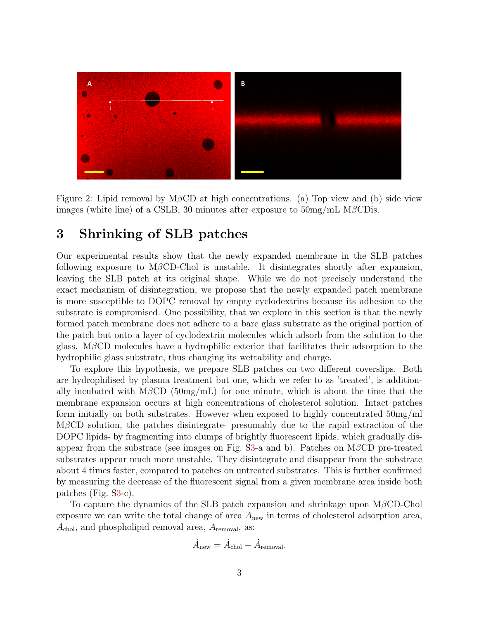

<span id="page-3-0"></span>Figure 2: Lipid removal by M $\beta$ CD at high concentrations. (a) Top view and (b) side view images (white line) of a CSLB, 30 minutes after exposure to  $50mg/mL$  M $\beta$ CDis.

#### 3 Shrinking of SLB patches

Our experimental results show that the newly expanded membrane in the SLB patches following exposure to M $\beta$ CD-Chol is unstable. It disintegrates shortly after expansion, leaving the SLB patch at its original shape. While we do not precisely understand the exact mechanism of disintegration, we propose that the newly expanded patch membrane is more susceptible to DOPC removal by empty cyclodextrins because its adhesion to the substrate is compromised. One possibility, that we explore in this section is that the newly formed patch membrane does not adhere to a bare glass substrate as the original portion of the patch but onto a layer of cyclodextrin molecules which adsorb from the solution to the glass. M $\beta$ CD molecules have a hydrophilic exterior that facilitates their adsorption to the hydrophilic glass substrate, thus changing its wettability and charge.

To explore this hypothesis, we prepare SLB patches on two different coverslips. Both are hydrophilised by plasma treatment but one, which we refer to as 'treated', is additionally incubated with M $\beta$ CD (50mg/mL) for one minute, which is about the time that the membrane expansion occurs at high concentrations of cholesterol solution. Intact patches form initially on both substrates. However when exposed to highly concentrated 50mg/ml  $M\beta$ CD solution, the patches disintegrate- presumably due to the rapid extraction of the DOPC lipids- by fragmenting into clumps of brightly fluorescent lipids, which gradually dis-appear from the substrate (see images on Fig. [S3-](#page-4-0)a and b). Patches on  $M\beta$ CD pre-treated substrates appear much more unstable. They disintegrate and disappear from the substrate about 4 times faster, compared to patches on untreated substrates. This is further confirmed by measuring the decrease of the fluorescent signal from a given membrane area inside both patches (Fig. [S3-](#page-4-0)c).

To capture the dynamics of the SLB patch expansion and shrinkage upon MβCD-Chol exposure we can write the total change of area  $A<sub>new</sub>$  in terms of cholesterol adsorption area,  $A_{\text{chol}}$ , and phospholipid removal area,  $A_{\text{removal}}$ , as:

$$
\dot{A}_{\text{new}} = \dot{A}_{\text{chol}} - \dot{A}_{\text{removal}}.
$$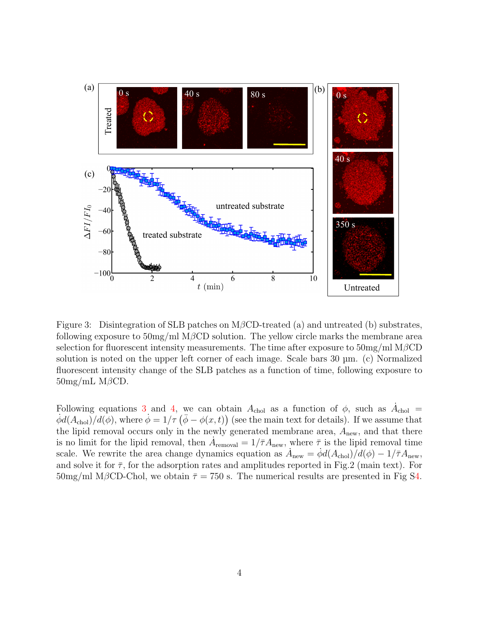

<span id="page-4-0"></span>Figure 3: Disintegration of SLB patches on MβCD-treated (a) and untreated (b) substrates, following exposure to  $50mg/ml MβCD$  solution. The yellow circle marks the membrane area selection for fluorescent intensity measurements. The time after exposure to  $50mg/ml MβCD$ solution is noted on the upper left corner of each image. Scale bars 30 µm. (c) Normalized fluorescent intensity change of the SLB patches as a function of time, following exposure to  $50mg/mL$  M $\beta$ CD.

Following equations [3](#page-2-1) and [4,](#page-2-2) we can obtain  $A_{\text{chol}}$  as a function of  $\phi$ , such as  $\dot{A}_{\text{chol}} =$  $\dot{\phi}d(A_{\text{chol}})/d(\phi)$ , where  $\dot{\phi}=1/\tau(\bar{\phi}-\phi(x,t))$  (see the main text for details). If we assume that the lipid removal occurs only in the newly generated membrane area,  $A_{\text{new}}$ , and that there is no limit for the lipid removal, then  $\dot{A}_{\text{removal}} = 1/\bar{\tau} A_{\text{new}}$ , where  $\bar{\tau}$  is the lipid removal time scale. We rewrite the area change dynamics equation as  $\dot{A}_{\text{new}} = \dot{\phi} d(A_{\text{chol}})/d(\phi) - 1/\bar{\tau}A_{\text{new}}$ , and solve it for  $\bar{\tau}$ , for the adsorption rates and amplitudes reported in Fig.2 (main text). For  $50 \text{mg/ml}$  M $\beta$ CD-Chol, we obtain  $\bar{\tau} = 750$  s. The numerical results are presented in Fig [S4.](#page-5-0)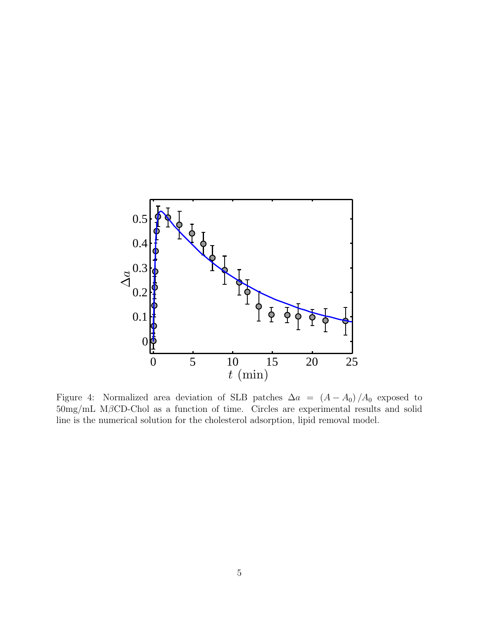

<span id="page-5-0"></span>Figure 4: Normalized area deviation of SLB patches  $\Delta a = (A - A_0)/A_0$  exposed to 50mg/mL MβCD-Chol as a function of time. Circles are experimental results and solid line is the numerical solution for the cholesterol adsorption, lipid removal model.